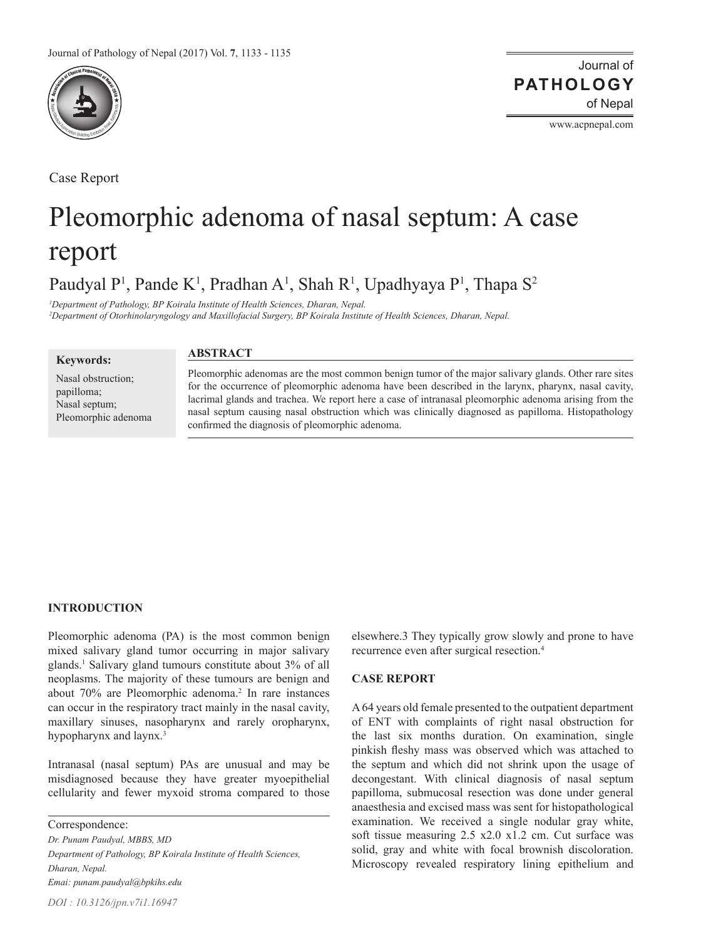

Case Report

Journal of of Nepal **PATHOLOGY**

www.acpnepal.com

# Pleomorphic adenoma of nasal septum: A case report

Paudyal P<sup>1</sup>, Pande K<sup>1</sup>, Pradhan A<sup>1</sup>, Shah R<sup>1</sup>, Upadhyaya P<sup>1</sup>, Thapa S<sup>2</sup>

*1 Department of Pathology, BP Koirala Institute of Health Sciences, Dharan, Nepal.*

*2 Department of Otorhinolaryngology and Maxillofacial Surgery, BP Koirala Institute of Health Sciences, Dharan, Nepal.*

**Keywords:**

**ABSTRACT**

Nasal obstruction; papilloma; Nasal septum; Pleomorphic adenoma Pleomorphic adenomas are the most common benign tumor of the major salivary glands. Other rare sites for the occurrence of pleomorphic adenoma have been described in the larynx, pharynx, nasal cavity, lacrimal glands and trachea. We report here a case of intranasal pleomorphic adenoma arising from the nasal septum causing nasal obstruction which was clinically diagnosed as papilloma. Histopathology confirmed the diagnosis of pleomorphic adenoma.

#### **INTRODUCTION**

Pleomorphic adenoma (PA) is the most common benign mixed salivary gland tumor occurring in major salivary glands.1 Salivary gland tumours constitute about 3% of all neoplasms. The majority of these tumours are benign and about 70% are Pleomorphic adenoma.<sup>2</sup> In rare instances can occur in the respiratory tract mainly in the nasal cavity, maxillary sinuses, nasopharynx and rarely oropharynx, hypopharynx and laynx.<sup>3</sup>

Intranasal (nasal septum) PAs are unusual and may be misdiagnosed because they have greater myoepithelial cellularity and fewer myxoid stroma compared to those

Correspondence: *Dr. Punam Paudyal, MBBS, MD Department of Pathology, BP Koirala Institute of Health Sciences, Dharan, Nepal. Emai: punam.paudyal@bpkihs.edu*

elsewhere.3 They typically grow slowly and prone to have recurrence even after surgical resection.<sup>4</sup>

#### **CASE REPORT**

A 64 years old female presented to the outpatient department of ENT with complaints of right nasal obstruction for the last six months duration. On examination, single pinkish fleshy mass was observed which was attached to the septum and which did not shrink upon the usage of decongestant. With clinical diagnosis of nasal septum papilloma, submucosal resection was done under general anaesthesia and excised mass was sent for histopathological examination. We received a single nodular gray white, soft tissue measuring 2.5 x2.0 x1.2 cm. Cut surface was solid, gray and white with focal brownish discoloration. Microscopy revealed respiratory lining epithelium and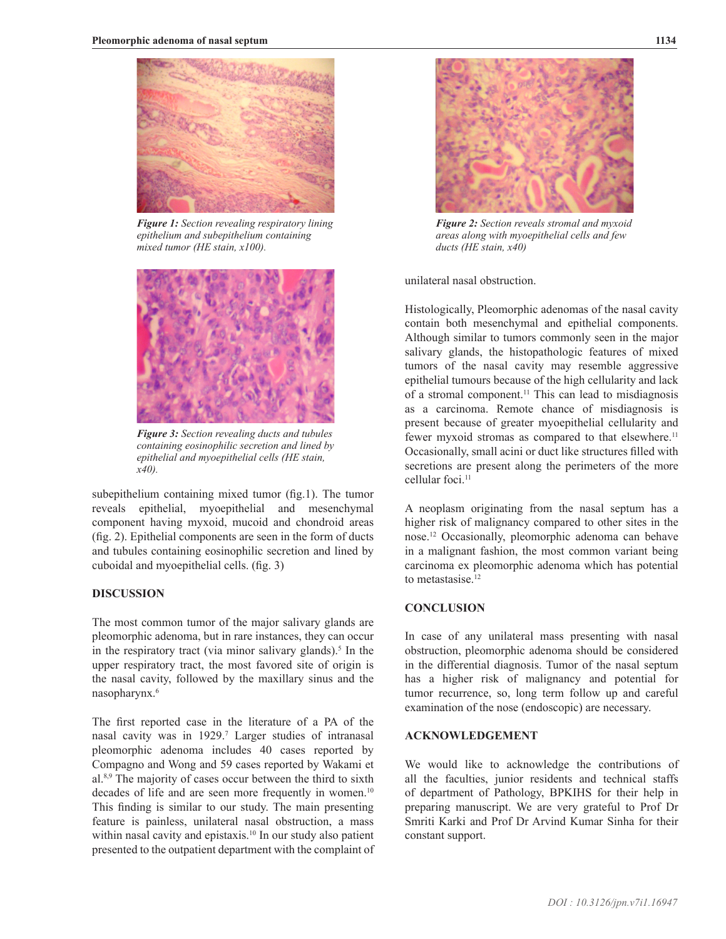

*Figure 1: Section revealing respiratory lining epithelium and subepithelium containing mixed tumor (HE stain, x100).*



*Figure 3: Section revealing ducts and tubules containing eosinophilic secretion and lined by epithelial and myoepithelial cells (HE stain, x40).*

subepithelium containing mixed tumor (fig.1). The tumor reveals epithelial, myoepithelial and mesenchymal component having myxoid, mucoid and chondroid areas (fig. 2). Epithelial components are seen in the form of ducts and tubules containing eosinophilic secretion and lined by cuboidal and myoepithelial cells. (fig. 3)

#### **DISCUSSION**

The most common tumor of the major salivary glands are pleomorphic adenoma, but in rare instances, they can occur in the respiratory tract (via minor salivary glands).<sup>5</sup> In the upper respiratory tract, the most favored site of origin is the nasal cavity, followed by the maxillary sinus and the nasopharynx.6

The first reported case in the literature of a PA of the nasal cavity was in 1929.7 Larger studies of intranasal pleomorphic adenoma includes 40 cases reported by Compagno and Wong and 59 cases reported by Wakami et al.8,9 The majority of cases occur between the third to sixth decades of life and are seen more frequently in women.<sup>10</sup> This finding is similar to our study. The main presenting feature is painless, unilateral nasal obstruction, a mass within nasal cavity and epistaxis.<sup>10</sup> In our study also patient presented to the outpatient department with the complaint of



*Figure 2: Section reveals stromal and myxoid areas along with myoepithelial cells and few ducts (HE stain, x40)*

unilateral nasal obstruction.

Histologically, Pleomorphic adenomas of the nasal cavity contain both mesenchymal and epithelial components. Although similar to tumors commonly seen in the major salivary glands, the histopathologic features of mixed tumors of the nasal cavity may resemble aggressive epithelial tumours because of the high cellularity and lack of a stromal component.<sup>11</sup> This can lead to misdiagnosis as a carcinoma. Remote chance of misdiagnosis is present because of greater myoepithelial cellularity and fewer myxoid stromas as compared to that elsewhere.<sup>11</sup> Occasionally, small acini or duct like structures filled with secretions are present along the perimeters of the more cellular foci.<sup>11</sup>

A neoplasm originating from the nasal septum has a higher risk of malignancy compared to other sites in the nose.12 Occasionally, pleomorphic adenoma can behave in a malignant fashion, the most common variant being carcinoma ex pleomorphic adenoma which has potential to metastasise.<sup>12</sup>

## **CONCLUSION**

In case of any unilateral mass presenting with nasal obstruction, pleomorphic adenoma should be considered in the differential diagnosis. Tumor of the nasal septum has a higher risk of malignancy and potential for tumor recurrence, so, long term follow up and careful examination of the nose (endoscopic) are necessary.

#### **ACKNOWLEDGEMENT**

We would like to acknowledge the contributions of all the faculties, junior residents and technical staffs of department of Pathology, BPKIHS for their help in preparing manuscript. We are very grateful to Prof Dr Smriti Karki and Prof Dr Arvind Kumar Sinha for their constant support.